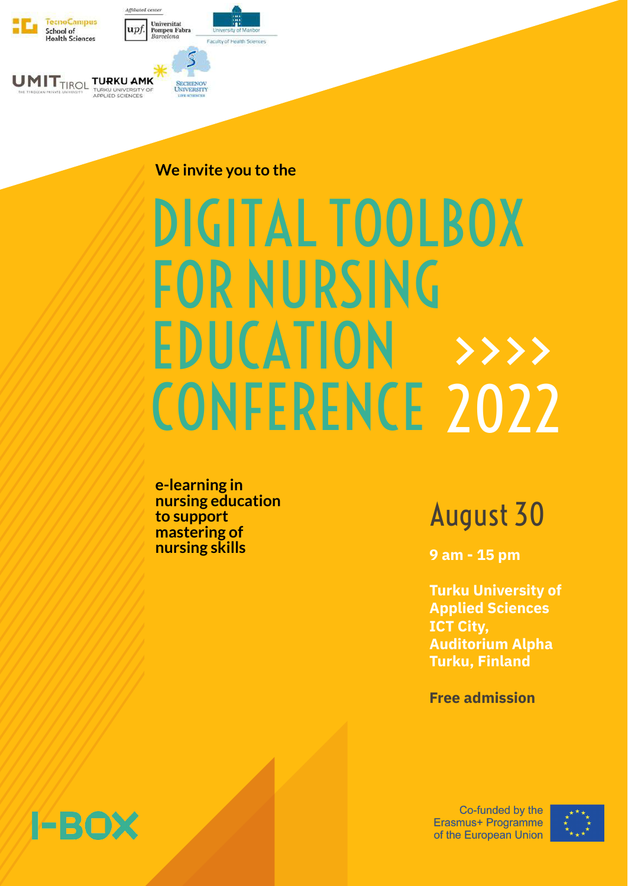# DIGITAL TOOLBOX FOR NURSING

## EDUCATION CONFERENCE 2022 >>>>

August 30

**9 am - 15 pm**

**Turku University of Applied Sciences ICT City, Auditorium Alpha Turku, Finland**

#### **Free admission**

### 14BOX

Co-funded by the Erasmus+ Programme of the European Union





#### **We invite you to the**

**e-learning in nursing education to support mastering of nursing skills**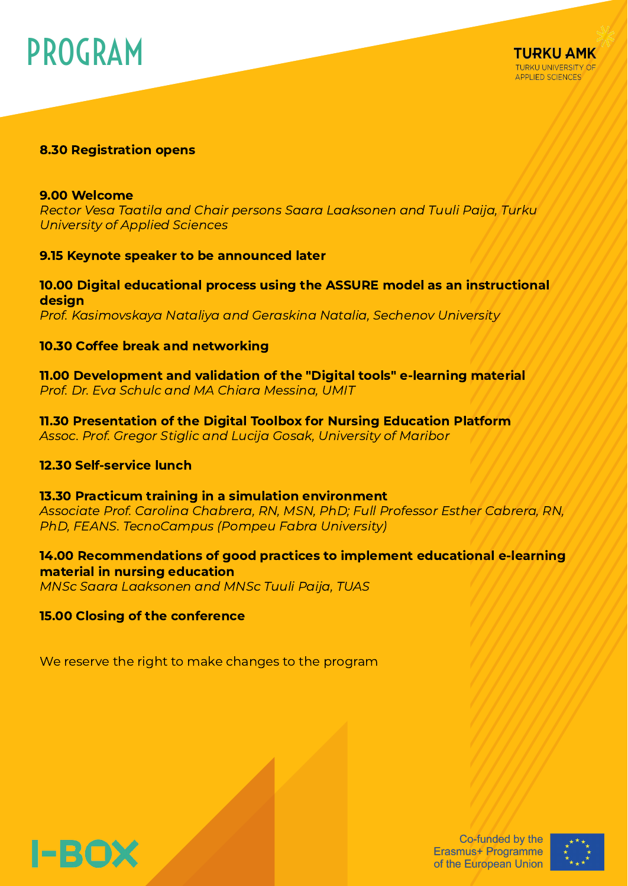### PROGRAM



#### 8.30 Registration opens

#### 9.00 Welcome

Rector Vesa Taatila and Chair persons Saara Laaksonen and Tuuli Paija, Turku University of Applied Sciences

#### 9.15 Keynote speaker to be announced later

#### 10.00 Digital educational process using the ASSURE model as an instructional design

Prof. Kasimovskaya Nataliya and Geraskina Natalia, Sechenov University

#### 10.30 Coffee break and networking

11.00 Development and validation of the "Digital tools" e-learning material Prof. Dr. Eva Schulc and MA Chiara Messina, UMIT

11.30 Presentation of the Digital Toolbox for Nursing Education Platform Assoc. Prof. Gregor Stiglic and Lucija Gosak, University of Maribor

#### 12.30 Self-service lunch

#### 13.30 Practicum training in a simulation environment

Associate Prof. Carolina Chabrera, RN, MSN, PhD; Full Professor Esther Cabrera, RN, PhD, FEANS. TecnoCampus (Pompeu Fabra University)

#### 14.00 Recommendations of good practices to implement educational e-learning material in nursing education

MNSc Saara Laaksonen and MNSc Tuuli Paija, TUAS

#### 15.00 Closing of the conference

We reserve the right to make changes to the program



Co-funded by the Erasmus+ Programme of the European Union